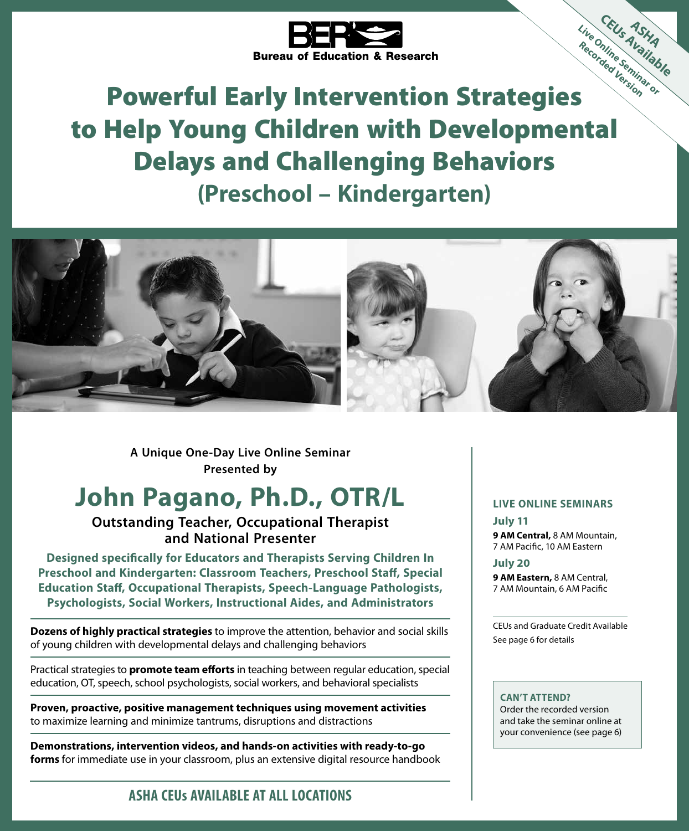

# Powerful Early Intervention Strategies to Help Young Children with Developmental Delays and Challenging Behaviors **(Preschool – Kindergarten) Live Online Seminar or Recorded Version**



**Presented by A Unique One-Day Live Online Seminar**

# **John Pagano, Ph.D., OTR/L**

### **Outstanding Teacher, Occupational Therapist and National Presenter**

**Designed specifically for Educators and Therapists Serving Children In Preschool and Kindergarten: Classroom Teachers, Preschool Staff, Special Education Staff, Occupational Therapists, Speech‑Language Pathologists, Psychologists, Social Workers, Instructional Aides, and Administrators**

**Dozens of highly practical strategies** to improve the attention, behavior and social skills of young children with developmental delays and challenging behaviors

Practical strategies to **promote team efforts** in teaching between regular education, special education, OT, speech, school psychologists, social workers, and behavioral specialists

**Proven, proactive, positive management techniques using movement activities**  to maximize learning and minimize tantrums, disruptions and distractions

**Demonstrations, intervention videos, and hands-on activities with ready‑to‑go forms** for immediate use in your classroom, plus an extensive digital resource handbook

### **LIVE ONLINE SEMINARS**

**CEU<sub>S</sub> ASHA<br>Inine Semiable** 

**July 11 9 AM Central,** 8 AM Mountain, 7 AM Pacific, 10 AM Eastern

**July 20**

**9 AM Eastern,** 8 AM Central, 7 AM Mountain, 6 AM Pacific

CEUs and Graduate Credit Available See page 6 for details

#### **CAN'T ATTEND?**

Order the recorded version and take the seminar online at your convenience (see page 6)

## **ASHA CEUs AVAILABLE AT ALL LOCATIONS**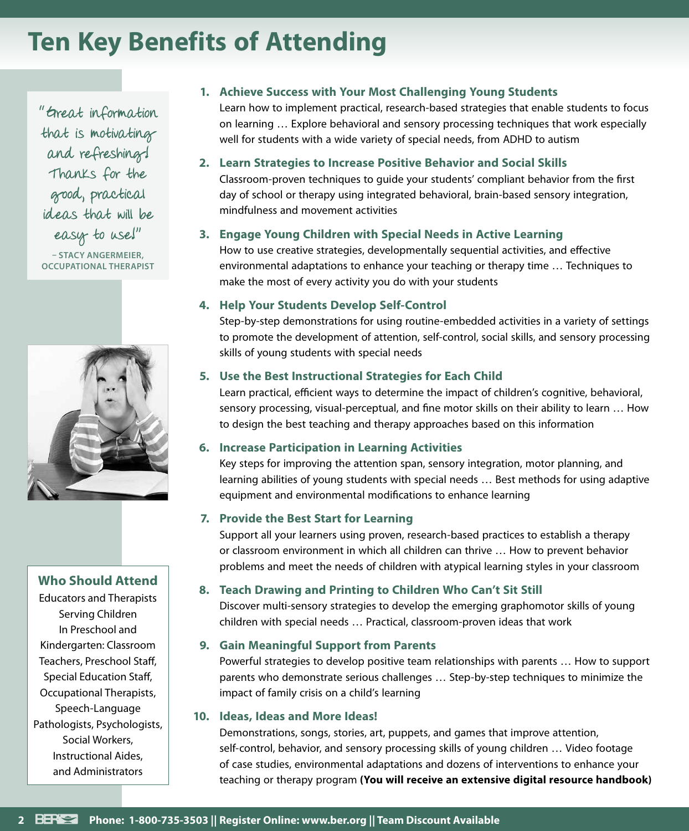# **Ten Key Benefits of Attending**

"Great information that is motivating and refreshing! Thanks for the good, practical ideas that will be easy to use!"

**– STACY ANGERMEIER, OCCUPATIONAL THERAPIST**



## **Who Should Attend**

Educators and Therapists Serving Children In Preschool and Kindergarten: Classroom Teachers, Preschool Staff, Special Education Staff, Occupational Therapists, Speech‑Language Pathologists, Psychologists, Social Workers, Instructional Aides, and Administrators

### **1. Achieve Success with Your Most Challenging Young Students**

Learn how to implement practical, research-based strategies that enable students to focus on learning … Explore behavioral and sensory processing techniques that work especially well for students with a wide variety of special needs, from ADHD to autism

### **2. Learn Strategies to Increase Positive Behavior and Social Skills**

Classroom‑proven techniques to guide your students' compliant behavior from the first day of school or therapy using integrated behavioral, brain-based sensory integration, mindfulness and movement activities

### **3. Engage Young Children with Special Needs in Active Learning**

How to use creative strategies, developmentally sequential activities, and effective environmental adaptations to enhance your teaching or therapy time … Techniques to make the most of every activity you do with your students

### **4. Help Your Students Develop Self‑Control**

Step-by-step demonstrations for using routine-embedded activities in a variety of settings to promote the development of attention, self‑control, social skills, and sensory processing skills of young students with special needs

### **5. Use the Best Instructional Strategies for Each Child**

Learn practical, efficient ways to determine the impact of children's cognitive, behavioral, sensory processing, visual-perceptual, and fine motor skills on their ability to learn ... How to design the best teaching and therapy approaches based on this information

### **6. Increase Participation in Learning Activities**

Key steps for improving the attention span, sensory integration, motor planning, and learning abilities of young students with special needs … Best methods for using adaptive equipment and environmental modifications to enhance learning

### **7. Provide the Best Start for Learning**

Support all your learners using proven, research-based practices to establish a therapy or classroom environment in which all children can thrive … How to prevent behavior problems and meet the needs of children with atypical learning styles in your classroom

### **8. Teach Drawing and Printing to Children Who Can't Sit Still**

Discover multi-sensory strategies to develop the emerging graphomotor skills of young children with special needs … Practical, classroom‑proven ideas that work

### **9. Gain Meaningful Support from Parents**

Powerful strategies to develop positive team relationships with parents … How to support parents who demonstrate serious challenges … Step‑by‑step techniques to minimize the impact of family crisis on a child's learning

### **10. Ideas, Ideas and More Ideas!**

Demonstrations, songs, stories, art, puppets, and games that improve attention, self‑control, behavior, and sensory processing skills of young children … Video footage of case studies, environmental adaptations and dozens of interventions to enhance your teaching or therapy program **(You will receive an extensive digital resource handbook)**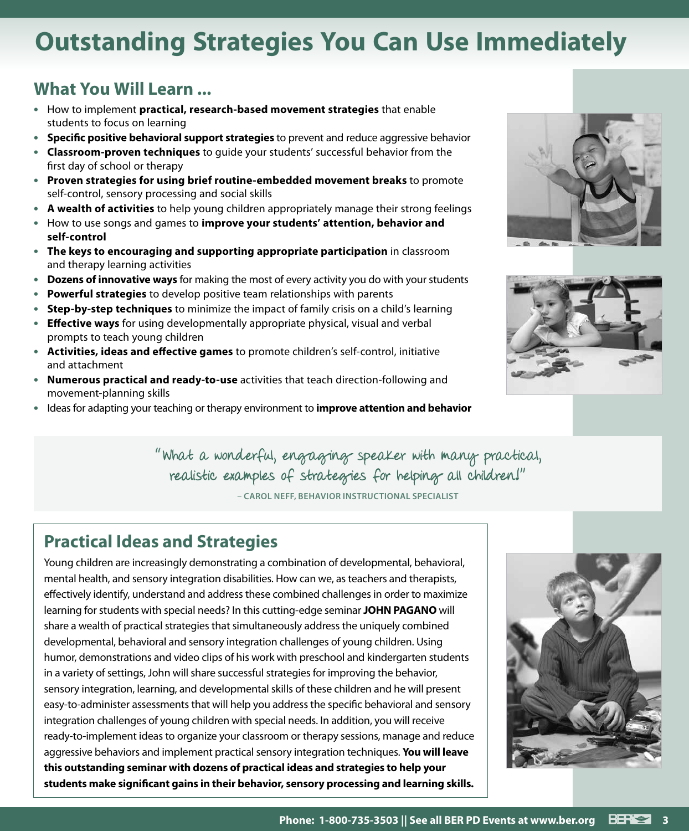# **Outstanding Strategies You Can Use Immediately**

# **What You Will Learn ...**

- **•** How to implement **practical, research‑based movement strategies** that enable students to focus on learning
- **• Specific positive behavioral support strategies** to prevent and reduce aggressive behavior
- **• Classroom‑proven techniques** to guide your students' successful behavior from the first day of school or therapy
- **• Proven strategies for using brief routine‑embedded movement breaks** to promote self-control, sensory processing and social skills
- **• A wealth of activities** to help young children appropriately manage their strong feelings
- **•** How to use songs and games to **improve your students' attention, behavior and self‑control**
- **• The keys to encouraging and supporting appropriate participation** in classroom and therapy learning activities
- **• Dozens of innovative ways** for making the most of every activity you do with your students
- **• Powerful strategies** to develop positive team relationships with parents
- **• Step‑by‑step techniques** to minimize the impact of family crisis on a child's learning
- **• Effective ways** for using developmentally appropriate physical, visual and verbal prompts to teach young children
- **• Activities, ideas and effective games** to promote children's self-control, initiative and attachment
- **• Numerous practical and ready‑to‑use** activities that teach direction-following and movement‑planning skills
- **•** Ideas for adapting your teaching or therapy environment to **improve attention and behavior**





"What a wonderful, engaging speaker with many practical, realistic examples of strategies for helping all children!"

**– CAROL NEFF, BEHAVIOR INSTRUCTIONAL SPECIALIST**

# **Practical Ideas and Strategies**

Young children are increasingly demonstrating a combination of developmental, behavioral, mental health, and sensory integration disabilities. How can we, as teachers and therapists, effectively identify, understand and address these combined challenges in order to maximize learning for students with special needs? In this cutting‑edge seminar **JOHN PAGANO** will share a wealth of practical strategies that simultaneously address the uniquely combined developmental, behavioral and sensory integration challenges of young children. Using humor, demonstrations and video clips of his work with preschool and kindergarten students in a variety of settings, John will share successful strategies for improving the behavior, sensory integration, learning, and developmental skills of these children and he will present easy-to-administer assessments that will help you address the specific behavioral and sensory integration challenges of young children with special needs. In addition, you will receive ready-to-implement ideas to organize your classroom or therapy sessions, manage and reduce aggressive behaviors and implement practical sensory integration techniques. **You will leave this outstanding seminar with dozens of practical ideas and strategies to help your students make significant gains in their behavior, sensory processing and learning skills.**

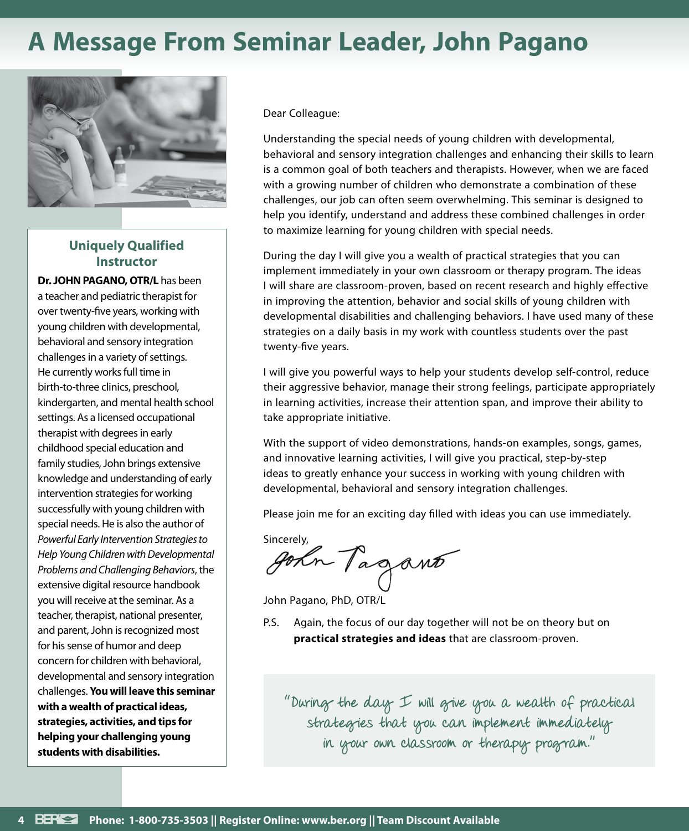# **A Message From Seminar Leader, John Pagano**



### **Uniquely Qualified Instructor**

**Dr. JOHN PAGANO, OTR/L** has been a teacher and pediatric therapist for over twenty‑five years, working with young children with developmental, behavioral and sensory integration challenges in a variety of settings. He currently works full time in birth-to-three clinics, preschool, kindergarten, and mental health school settings. As a licensed occupational therapist with degrees in early childhood special education and family studies, John brings extensive knowledge and understanding of early intervention strategies for working successfully with young children with special needs. He is also the author of *Powerful Early Intervention Strategies to Help Young Children with Developmental Problems and Challenging Behaviors*, the extensive digital resource handbook you will receive at the seminar. As a teacher, therapist, national presenter, and parent, John is recognized most for his sense of humor and deep concern for children with behavioral, developmental and sensory integration challenges. **You will leave this seminar with a wealth of practical ideas, strategies, activities, and tips for helping your challenging young students with disabilities.**

Dear Colleague:

Understanding the special needs of young children with developmental, behavioral and sensory integration challenges and enhancing their skills to learn is a common goal of both teachers and therapists. However, when we are faced with a growing number of children who demonstrate a combination of these challenges, our job can often seem overwhelming. This seminar is designed to help you identify, understand and address these combined challenges in order to maximize learning for young children with special needs.

During the day I will give you a wealth of practical strategies that you can implement immediately in your own classroom or therapy program. The ideas I will share are classroom‑proven, based on recent research and highly effective in improving the attention, behavior and social skills of young children with developmental disabilities and challenging behaviors. I have used many of these strategies on a daily basis in my work with countless students over the past twenty‑five years.

I will give you powerful ways to help your students develop self‑control, reduce their aggressive behavior, manage their strong feelings, participate appropriately in learning activities, increase their attention span, and improve their ability to take appropriate initiative.

With the support of video demonstrations, hands-on examples, songs, games, and innovative learning activities, I will give you practical, step-by-step ideas to greatly enhance your success in working with young children with developmental, behavioral and sensory integration challenges.

Please join me for an exciting day filled with ideas you can use immediately.

sincerely,<br>gorn Tagant

John Pagano, PhD, OTR/L

P.S. Again, the focus of our day together will not be on theory but on **practical strategies and ideas** that are classroom‑proven.

"During the day I will give you a wealth of practical strategies that you can implement immediately in your own classroom or therapy program."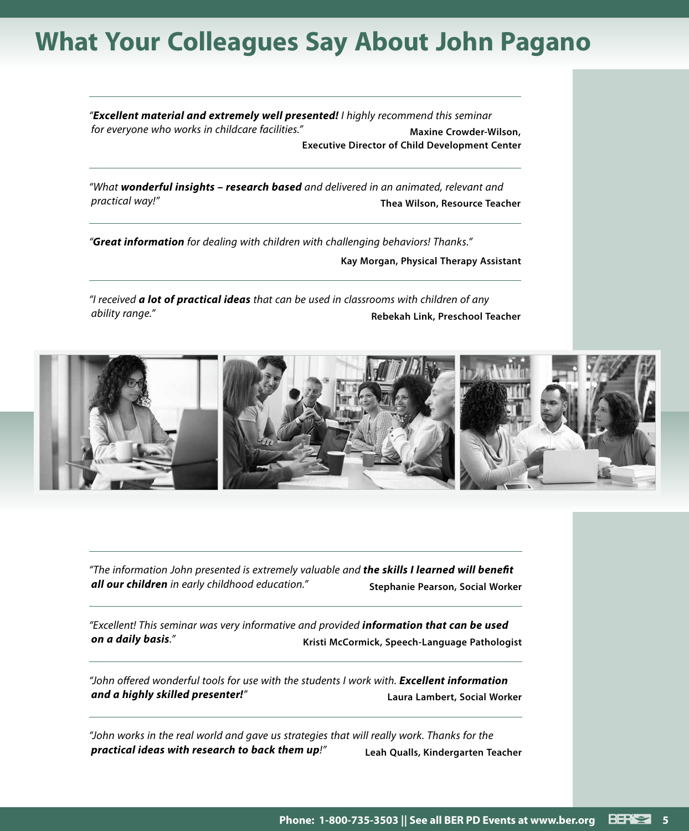# **What Your Colleagues Say About John Pagano**

*"Excellent material and extremely well presented! I highly recommend this seminar*  for everyone who works in childcare facilities." **Maxine Crowder-Wilson**, **Executive Director of Child Development Center**

*"What wonderful insights – research based and delivered in an animated, relevant and practical way!"* **Thea Wilson, Resource Teacher**

*"Great information for dealing with children with challenging behaviors! Thanks."* **Kay Morgan, Physical Therapy Assistant**

*"I received a lot of practical ideas that can be used in classrooms with children of any ability range."* **Rebekah Link, Preschool Teacher**



*"The information John presented is extremely valuable and the skills I learned will benefit all our children in early childhood education."* **Stephanie Pearson, Social Worker**

*"Excellent! This seminar was very informative and provided information that can be used on a daily basis."* **Kristi McCormick, Speech-Language Pathologist**

*"John offered wonderful tools for use with the students I work with. Excellent information and a highly skilled presenter!"* **Laura Lambert, Social Worker**

*"John works in the real world and gave us strategies that will really work. Thanks for the practical ideas with research to back them up!"* **Leah Qualls, Kindergarten Teacher**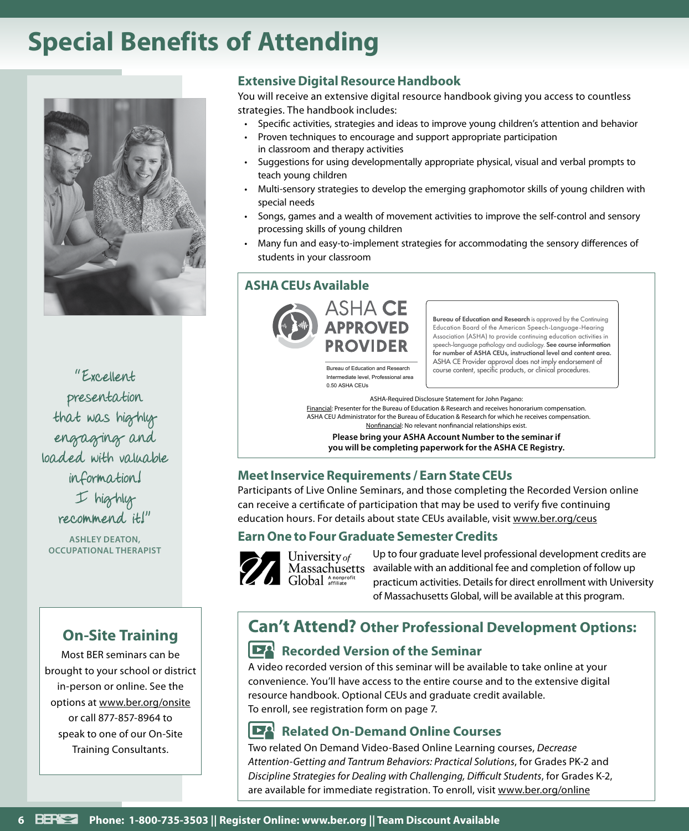# **Special Benefits of Attending**



"Excellent presentation that was highly engaging and loaded with valuable information! I highly recommend it!"

**ASHLEY DEATON, OCCUPATIONAL THERAPIST**

## **On‑Site Training**

Most BER seminars can be brought to your school or district in-person or online. See the options at www.ber.org/onsite or call 877‑857‑8964 to speak to one of our On‑Site Training Consultants.

### **Extensive Digital Resource Handbook**

You will receive an extensive digital resource handbook giving you access to countless strategies. The handbook includes:

- Specific activities, strategies and ideas to improve young children's attention and behavior
- Proven techniques to encourage and support appropriate participation in classroom and therapy activities
- Suggestions for using developmentally appropriate physical, visual and verbal prompts to teach young children
- Multi-sensory strategies to develop the emerging graphomotor skills of young children with special needs
- Songs, games and a wealth of movement activities to improve the self‑control and sensory processing skills of young children
- Many fun and easy-to-implement strategies for accommodating the sensory differences of students in your classroom

## **ASHA CEUs Available**



Bureau of Education and Research is approved by the Continuing Education Board of the American Speech-Language-Hearing Association (ASHA) to provide continuing education activities in speech-language pathology and audiology. See course information for number of ASHA CEUs, instructional level and content area. ASHA CE Provider approval does not imply endorsement of Bureau of Education and Research course content, specific products, or clinical procedures.

Intermediate level, Professional area 0.50 ASHA CEUs

ASHA-Required Disclosure Statement for John Pagano: Financial: Presenter for the Bureau of Education & Research and receives honorarium compensation. ASHA CEU Administrator for the Bureau of Education & Research for which he receives compensation. Nonfinancial: No relevant nonfinancial relationships exist.

**Please bring your ASHA Account Number to the seminar if you will be completing paperwork for the ASHA CE Registry.**

## **Meet Inservice Requirements / Earn State CEUs**

Participants of Live Online Seminars, and those completing the Recorded Version online can receive a certificate of participation that may be used to verify five continuing education hours. For details about state CEUs available, visit www.ber.org/ceus

### **Earn One to Four Graduate Semester Credits**



Up to four graduate level professional development credits are available with an additional fee and completion of follow up practicum activities. Details for direct enrollment with University of Massachusetts Global, will be available at this program.

# **Can't Attend? Other Professional Development Options:**

## **Recorded Version of the Seminar**

A video recorded version of this seminar will be available to take online at your convenience. You'll have access to the entire course and to the extensive digital resource handbook. Optional CEUs and graduate credit available. To enroll, see registration form on page 7.

#### ĿА **Related On-Demand Online Courses**

Two related On Demand Video-Based Online Learning courses, *Decrease Attention-Getting and Tantrum Behaviors: Practical Solutions*, for Grades PK-2 and *Discipline Strategies for Dealing with Challenging, Difficult Students*, for Grades K-2, are available for immediate registration. To enroll, visit www.ber.org/online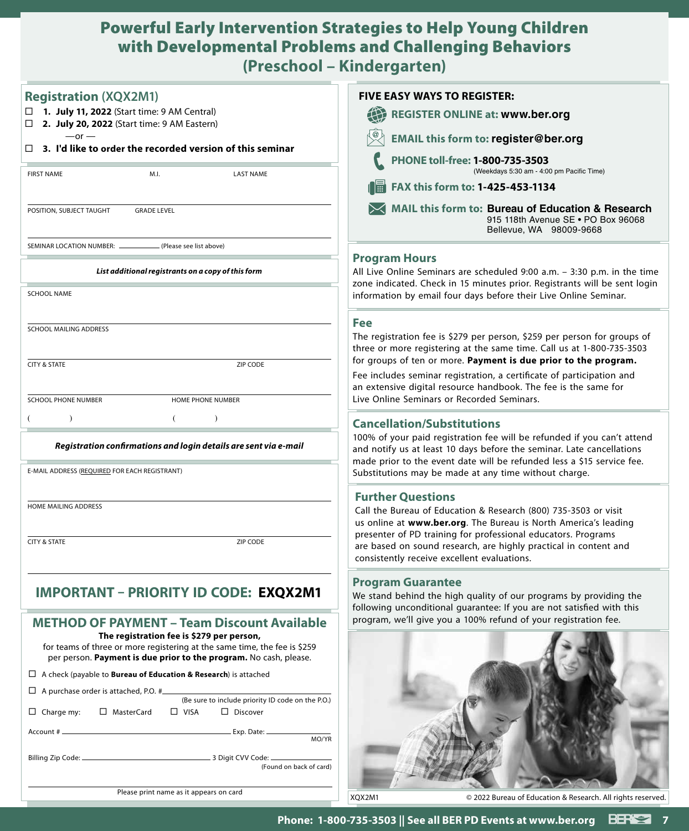## Powerful Early Intervention Strategies to Help Young Children with Developmental Problems and Challenging Behaviors **(Preschool – Kindergarten)**

| <b>Registration (XQX2M1)</b>                                                                                                                                                                | <b>FIVE EASY WAYS TO REGISTER:</b>                                                                                                                                                                                         |
|---------------------------------------------------------------------------------------------------------------------------------------------------------------------------------------------|----------------------------------------------------------------------------------------------------------------------------------------------------------------------------------------------------------------------------|
| 1. July 11, 2022 (Start time: 9 AM Central)                                                                                                                                                 | <b>REGISTER ONLINE at: www.ber.org</b>                                                                                                                                                                                     |
| □ 2. July 20, 2022 (Start time: 9 AM Eastern)<br>$-$ or $-$                                                                                                                                 | <b>EMAIL this form to: register@ber.org</b>                                                                                                                                                                                |
| $\Box$ 3. I'd like to order the recorded version of this seminar                                                                                                                            | PHONE toll-free: 1-800-735-3503                                                                                                                                                                                            |
| <b>LAST NAME</b><br><b>FIRST NAME</b><br>M.I.                                                                                                                                               | (Weekdays 5:30 am - 4:00 pm Pacific Time)                                                                                                                                                                                  |
|                                                                                                                                                                                             | FAX this form to: 1-425-453-1134                                                                                                                                                                                           |
| POSITION, SUBJECT TAUGHT<br><b>GRADE LEVEL</b>                                                                                                                                              | MAIL this form to: Bureau of Education & Research<br>915 118th Avenue SE . PO Box 96068<br>Bellevue, WA 98009-9668                                                                                                         |
| . (Please see list above)<br>SEMINAR LOCATION NUMBER: _                                                                                                                                     |                                                                                                                                                                                                                            |
| List additional registrants on a copy of this form                                                                                                                                          | <b>Program Hours</b><br>All Live Online Seminars are scheduled 9:00 a.m. - 3:30 p.m. in the time<br>zone indicated. Check in 15 minutes prior. Registrants will be sent login                                              |
| <b>SCHOOL NAME</b>                                                                                                                                                                          | information by email four days before their Live Online Seminar.                                                                                                                                                           |
|                                                                                                                                                                                             | Fee                                                                                                                                                                                                                        |
| SCHOOL MAILING ADDRESS                                                                                                                                                                      | The registration fee is \$279 per person, \$259 per person for groups of<br>three or more registering at the same time. Call us at 1-800-735-3503                                                                          |
| <b>CITY &amp; STATE</b><br>ZIP CODE                                                                                                                                                         | for groups of ten or more. Payment is due prior to the program.<br>Fee includes seminar registration, a certificate of participation and                                                                                   |
|                                                                                                                                                                                             | an extensive digital resource handbook. The fee is the same for                                                                                                                                                            |
| <b>SCHOOL PHONE NUMBER</b><br>HOME PHONE NUMBER                                                                                                                                             | Live Online Seminars or Recorded Seminars.                                                                                                                                                                                 |
| $\lambda$<br>$\mathcal{E}$                                                                                                                                                                  | <b>Cancellation/Substitutions</b>                                                                                                                                                                                          |
| Registration confirmations and login details are sent via e-mail                                                                                                                            | 100% of your paid registration fee will be refunded if you can't attend<br>and notify us at least 10 days before the seminar. Late cancellations<br>made prior to the event date will be refunded less a \$15 service fee. |
| E-MAIL ADDRESS (REQUIRED FOR EACH REGISTRANT)                                                                                                                                               | Substitutions may be made at any time without charge.                                                                                                                                                                      |
| HOME MAILING ADDRESS                                                                                                                                                                        | <b>Further Questions</b><br>Call the Bureau of Education & Research (800) 735-3503 or visit                                                                                                                                |
|                                                                                                                                                                                             | us online at www.ber.org. The Bureau is North America's leading<br>presenter of PD training for professional educators. Programs                                                                                           |
| <b>CITY &amp; STATE</b><br>ZIP CODE                                                                                                                                                         | are based on sound research, are highly practical in content and<br>consistently receive excellent evaluations.                                                                                                            |
|                                                                                                                                                                                             | <b>Program Guarantee</b>                                                                                                                                                                                                   |
| <b>IMPORTANT - PRIORITY ID CODE: EXQX2M1</b>                                                                                                                                                | We stand behind the high quality of our programs by providing the<br>following unconditional guarantee: If you are not satisfied with this                                                                                 |
| <b>METHOD OF PAYMENT - Team Discount Available</b>                                                                                                                                          | program, we'll give you a 100% refund of your registration fee.                                                                                                                                                            |
| The registration fee is \$279 per person,<br>for teams of three or more registering at the same time, the fee is \$259<br>per person. Payment is due prior to the program. No cash, please. |                                                                                                                                                                                                                            |
| $\Box$ A check (payable to <b>Bureau of Education &amp; Research</b> ) is attached                                                                                                          |                                                                                                                                                                                                                            |
| $\Box$ A purchase order is attached, P.O. # $\Box$                                                                                                                                          |                                                                                                                                                                                                                            |
| (Be sure to include priority ID code on the P.O.)<br>□ MasterCard<br>$\Box$ VISA<br>$\Box$ Charge my:<br>$\Box$ Discover                                                                    |                                                                                                                                                                                                                            |
| MO/YR                                                                                                                                                                                       |                                                                                                                                                                                                                            |
|                                                                                                                                                                                             |                                                                                                                                                                                                                            |
| (Found on back of card)                                                                                                                                                                     |                                                                                                                                                                                                                            |
| Please print name as it appears on card                                                                                                                                                     | XQX2M1<br>© 2022 Bureau of Education & Research. All rights reserved.                                                                                                                                                      |